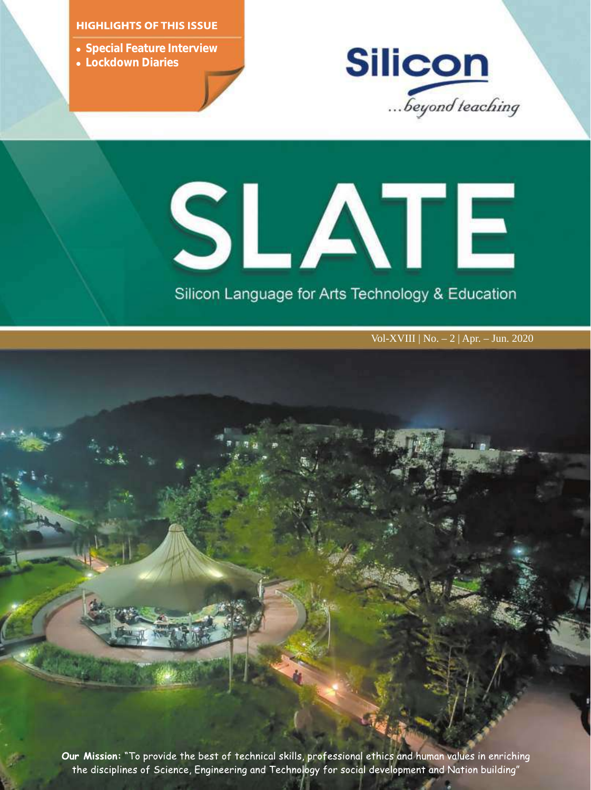### **HIGHLIGHTS OF THIS ISSUE**

- **.** Special Feature Interview
- l **Lockdown Diaries**



# SLATE

# Silicon Language for Arts Technology & Education

Vol-XVIII | No. – 2 | Apr. – Jun. 2020

Our Mission: "To provide the best of technical skills, professional ethics and human values in enriching the disciplines of Science, Engineering and Technology for social development and Nation building"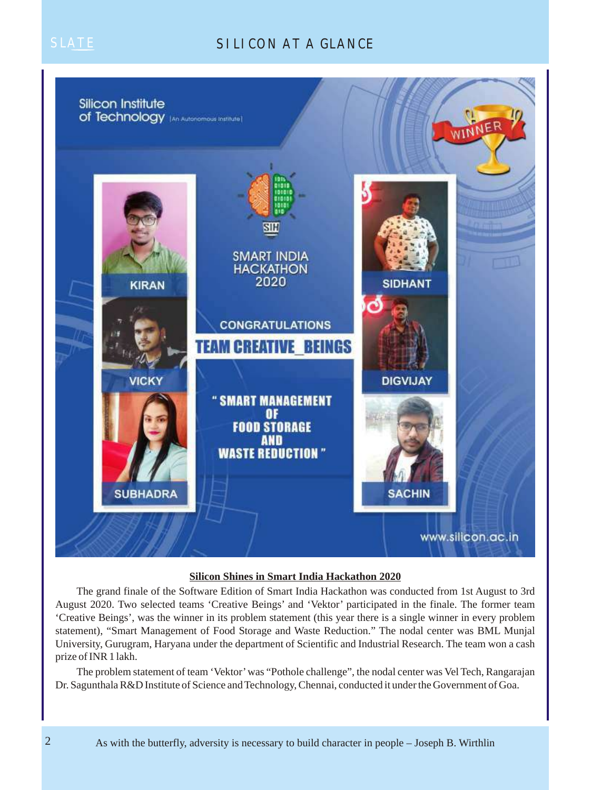# SILICON AT A GLANCE



### **Silicon Shines in Smart India Hackathon 2020**

The grand finale of the Software Edition of Smart India Hackathon was conducted from 1st August to 3rd August 2020. Two selected teams 'Creative Beings' and 'Vektor' participated in the finale. The former team 'Creative Beings', was the winner in its problem statement (this year there is a single winner in every problem statement), "Smart Management of Food Storage and Waste Reduction." The nodal center was BML Munjal University, Gurugram, Haryana under the department of Scientific and Industrial Research. The team won a cash prize of INR 1 lakh.

The problem statement of team 'Vektor' was "Pothole challenge", the nodal center was Vel Tech, Rangarajan Dr. Sagunthala R&D Institute of Science and Technology, Chennai, conducted it under the Government of Goa.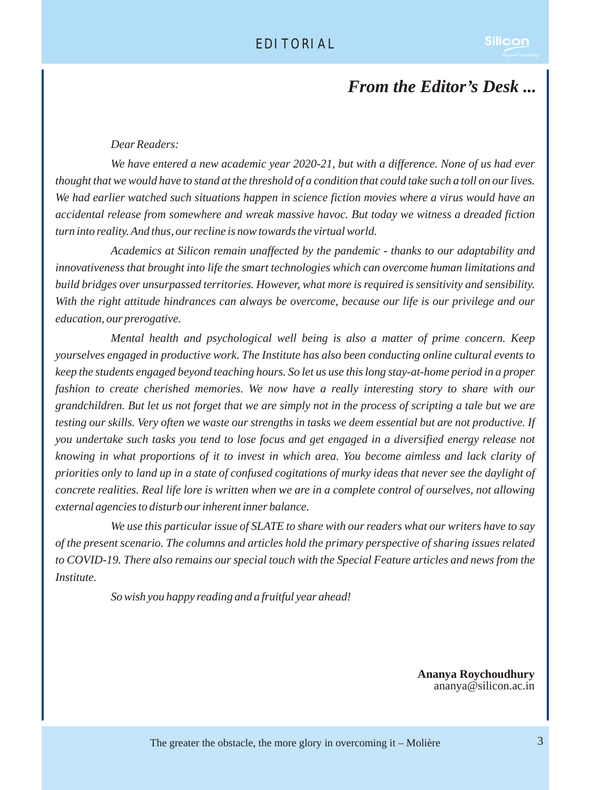# *From the Editor's Desk ...*

### *Dear Readers:*

*We have entered a new academic year 2020-21, but with a difference. None of us had ever thought that we would have to stand at the threshold of a condition that could take such a toll on our lives. We had earlier watched such situations happen in science fiction movies where a virus would have an accidental release from somewhere and wreak massive havoc. But today we witness a dreaded fiction turn into reality. And thus, our recline is now towards the virtual world.*

*Academics at Silicon remain unaffected by the pandemic - thanks to our adaptability and innovativeness that brought into life the smart technologies which can overcome human limitations and build bridges over unsurpassed territories. However, what more is required is sensitivity and sensibility. With the right attitude hindrances can always be overcome, because our life is our privilege and our education, our prerogative.*

*Mental health and psychological well being is also a matter of prime concern. Keep yourselves engaged in productive work. The Institute has also been conducting online cultural events to keep the students engaged beyond teaching hours. So let us use this long stay-at-home period in a proper fashion to create cherished memories. We now have a really interesting story to share with our grandchildren. But let us not forget that we are simply not in the process of scripting a tale but we are testing our skills. Very often we waste our strengths in tasks we deem essential but are not productive. If you undertake such tasks you tend to lose focus and get engaged in a diversified energy release not knowing in what proportions of it to invest in which area. You become aimless and lack clarity of priorities only to land up in a state of confused cogitations of murky ideas that never see the daylight of concrete realities. Real life lore is written when we are in a complete control of ourselves, not allowing external agencies to disturb our inherent inner balance.* 

*We use this particular issue of SLATE to share with our readers what our writers have to say of the present scenario. The columns and articles hold the primary perspective of sharing issues related to COVID-19. There also remains our special touch with the Special Feature articles and news from the Institute.*

*So wish you happy reading and a fruitful year ahead!*

**Ananya Roychoudhury** ananya@silicon.ac.in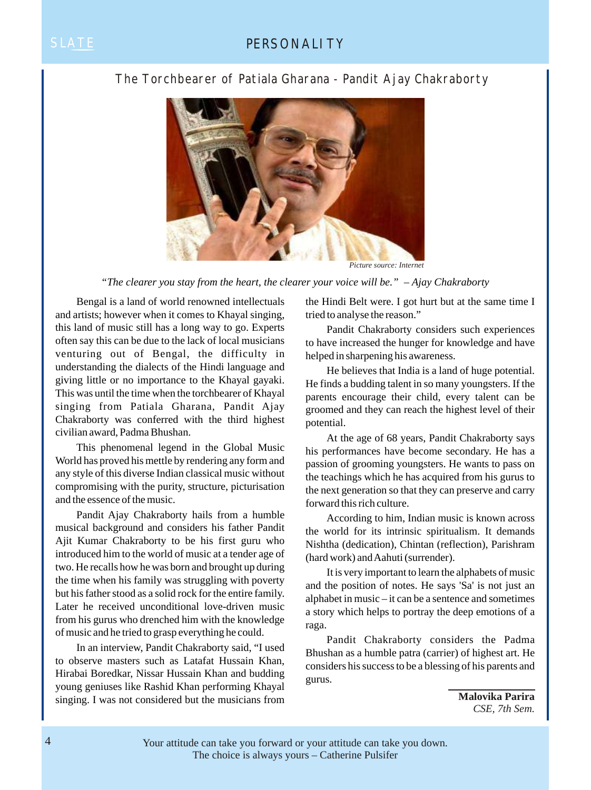### SLATE **PERSONALITY**

### The Torchbearer of Patiala Gharana - Pandit Ajay Chakraborty



*Picture source: Internet*

*"The clearer you stay from the heart, the clearer your voice will be." – Ajay Chakraborty*

Bengal is a land of world renowned intellectuals and artists; however when it comes to Khayal singing, this land of music still has a long way to go. Experts often say this can be due to the lack of local musicians venturing out of Bengal, the difficulty in understanding the dialects of the Hindi language and giving little or no importance to the Khayal gayaki. This was until the time when the torchbearer of Khayal singing from Patiala Gharana, Pandit Ajay Chakraborty was conferred with the third highest civilian award, Padma Bhushan.

This phenomenal legend in the Global Music World has proved his mettle by rendering any form and any style of this diverse Indian classical music without compromising with the purity, structure, picturisation and the essence of the music.

Pandit Ajay Chakraborty hails from a humble musical background and considers his father Pandit Ajit Kumar Chakraborty to be his first guru who introduced him to the world of music at a tender age of two. He recalls how he was born and brought up during the time when his family was struggling with poverty but his father stood as a solid rock for the entire family. Later he received unconditional love-driven music from his gurus who drenched him with the knowledge of music and he tried to grasp everything he could.

In an interview, Pandit Chakraborty said, "I used to observe masters such as Latafat Hussain Khan, Hirabai Boredkar, Nissar Hussain Khan and budding young geniuses like Rashid Khan performing Khayal singing. I was not considered but the musicians from the Hindi Belt were. I got hurt but at the same time I tried to analyse the reason."

Pandit Chakraborty considers such experiences to have increased the hunger for knowledge and have helped in sharpening his awareness.

He believes that India is a land of huge potential. He finds a budding talent in so many youngsters. If the parents encourage their child, every talent can be groomed and they can reach the highest level of their potential.

At the age of 68 years, Pandit Chakraborty says his performances have become secondary. He has a passion of grooming youngsters. He wants to pass on the teachings which he has acquired from his gurus to the next generation so that they can preserve and carry forward this rich culture.

According to him, Indian music is known across the world for its intrinsic spiritualism. It demands Nishtha (dedication), Chintan (reflection), Parishram (hard work) and Aahuti (surrender).

It is very important to learn the alphabets of music and the position of notes. He says 'Sa' is not just an alphabet in music – it can be a sentence and sometimes a story which helps to portray the deep emotions of a raga.

Pandit Chakraborty considers the Padma Bhushan as a humble patra (carrier) of highest art. He considers his success to be a blessing of his parents and gurus.

> **Malovika Parira** *CSE, 7th Sem.*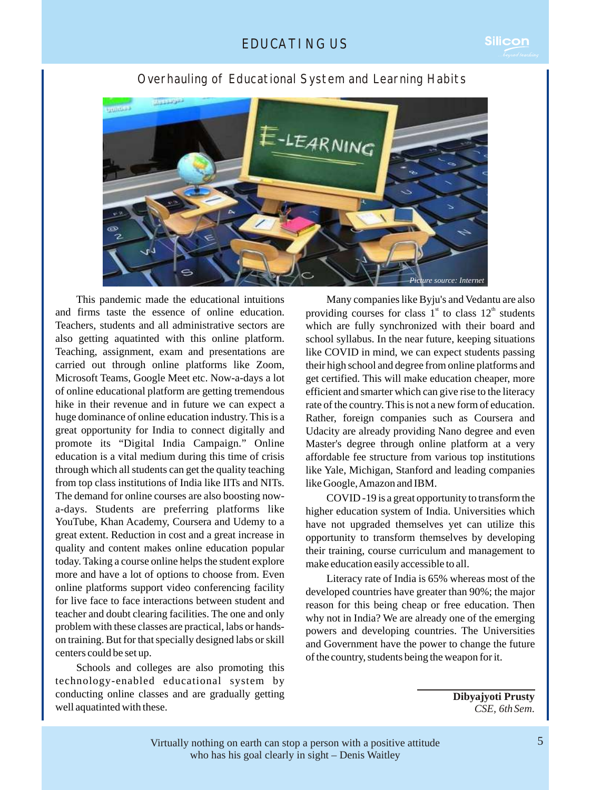

### Overhauling of Educational System and Learning Habits

This pandemic made the educational intuitions and firms taste the essence of online education. Teachers, students and all administrative sectors are also getting aquatinted with this online platform. Teaching, assignment, exam and presentations are carried out through online platforms like Zoom, Microsoft Teams, Google Meet etc. Now-a-days a lot of online educational platform are getting tremendous hike in their revenue and in future we can expect a huge dominance of online education industry. This is a great opportunity for India to connect digitally and promote its "Digital India Campaign." Online education is a vital medium during this time of crisis through which all students can get the quality teaching from top class institutions of India like IITs and NITs. The demand for online courses are also boosting nowa-days. Students are preferring platforms like YouTube, Khan Academy, Coursera and Udemy to a great extent. Reduction in cost and a great increase in quality and content makes online education popular today. Taking a course online helps the student explore more and have a lot of options to choose from. Even online platforms support video conferencing facility for live face to face interactions between student and teacher and doubt clearing facilities. The one and only problem with these classes are practical, labs or handson training. But for that specially designed labs or skill centers could be set up.

Schools and colleges are also promoting this technology-enabled educational system by conducting online classes and are gradually getting well aquatinted with these.

Many companies like Byju's and Vedantu are also providing courses for class  $1<sup>st</sup>$  to class  $12<sup>th</sup>$  students which are fully synchronized with their board and school syllabus. In the near future, keeping situations like COVID in mind, we can expect students passing their high school and degree from online platforms and get certified. This will make education cheaper, more efficient and smarter which can give rise to the literacy rate of the country. This is not a new form of education. Rather, foreign companies such as Coursera and Udacity are already providing Nano degree and even Master's degree through online platform at a very affordable fee structure from various top institutions like Yale, Michigan, Stanford and leading companies like Google, Amazon and IBM.

COVID -19 is a great opportunity to transform the higher education system of India. Universities which have not upgraded themselves yet can utilize this opportunity to transform themselves by developing their training, course curriculum and management to make education easily accessible to all.

Literacy rate of India is 65% whereas most of the developed countries have greater than 90%; the major reason for this being cheap or free education. Then why not in India? We are already one of the emerging powers and developing countries. The Universities and Government have the power to change the future of the country, students being the weapon for it.

> **Dibyajyoti Prusty** *CSE, 6thSem*.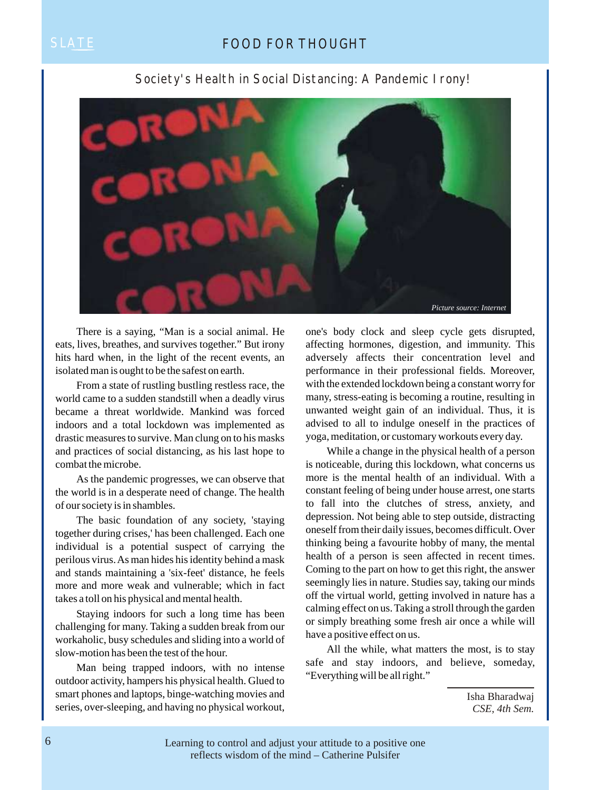### SLATE **FOOD FOR THOUGHT**



Society's Health in Social Distancing: A Pandemic Irony!

There is a saying, "Man is a social animal. He eats, lives, breathes, and survives together." But irony hits hard when, in the light of the recent events, an isolated man is ought to be the safest on earth.

From a state of rustling bustling restless race, the world came to a sudden standstill when a deadly virus became a threat worldwide. Mankind was forced indoors and a total lockdown was implemented as drastic measures to survive. Man clung on to his masks and practices of social distancing, as his last hope to combat the microbe.

As the pandemic progresses, we can observe that the world is in a desperate need of change. The health of our society is in shambles.

The basic foundation of any society, 'staying together during crises,' has been challenged. Each one individual is a potential suspect of carrying the perilous virus. As man hides his identity behind a mask and stands maintaining a 'six-feet' distance, he feels more and more weak and vulnerable; which in fact takes a toll on his physical and mental health.

Staying indoors for such a long time has been challenging for many. Taking a sudden break from our workaholic, busy schedules and sliding into a world of slow-motion has been the test of the hour.

Man being trapped indoors, with no intense outdoor activity, hampers his physical health. Glued to smart phones and laptops, binge-watching movies and series, over-sleeping, and having no physical workout, one's body clock and sleep cycle gets disrupted, affecting hormones, digestion, and immunity. This adversely affects their concentration level and performance in their professional fields. Moreover, with the extended lockdown being a constant worry for many, stress-eating is becoming a routine, resulting in unwanted weight gain of an individual. Thus, it is advised to all to indulge oneself in the practices of yoga, meditation, or customary workouts every day.

While a change in the physical health of a person is noticeable, during this lockdown, what concerns us more is the mental health of an individual. With a constant feeling of being under house arrest, one starts to fall into the clutches of stress, anxiety, and depression. Not being able to step outside, distracting oneself from their daily issues, becomes difficult. Over thinking being a favourite hobby of many, the mental health of a person is seen affected in recent times. Coming to the part on how to get this right, the answer seemingly lies in nature. Studies say, taking our minds off the virtual world, getting involved in nature has a calming effect on us. Taking a stroll through the garden or simply breathing some fresh air once a while will have a positive effect on us.

All the while, what matters the most, is to stay safe and stay indoors, and believe, someday, "Everything will be all right."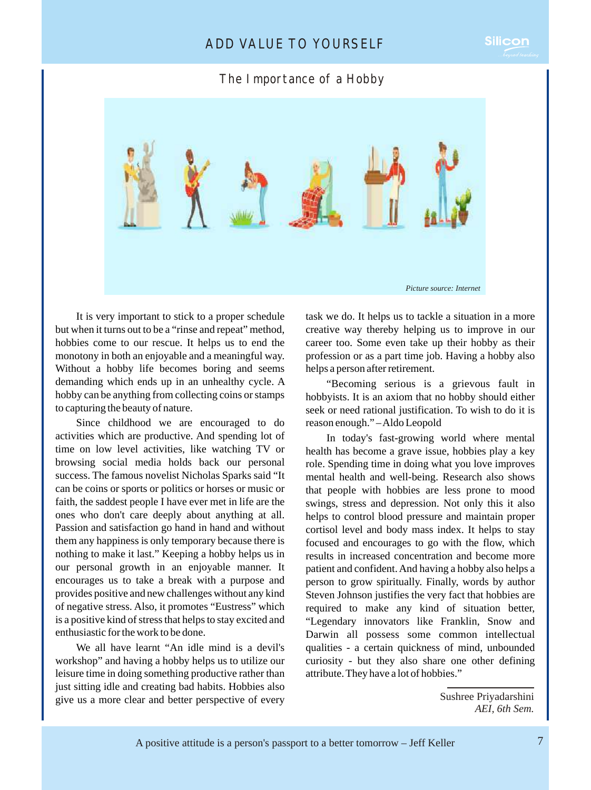### ADD VALUE TO YOURSELF

### The Importance of a Hobby



It is very important to stick to a proper schedule but when it turns out to be a "rinse and repeat" method, hobbies come to our rescue. It helps us to end the monotony in both an enjoyable and a meaningful way. Without a hobby life becomes boring and seems demanding which ends up in an unhealthy cycle. A hobby can be anything from collecting coins or stamps to capturing the beauty of nature.

Since childhood we are encouraged to do activities which are productive. And spending lot of time on low level activities, like watching TV or browsing social media holds back our personal success. The famous novelist Nicholas Sparks said "It can be coins or sports or politics or horses or music or faith, the saddest people I have ever met in life are the ones who don't care deeply about anything at all. Passion and satisfaction go hand in hand and without them any happiness is only temporary because there is nothing to make it last." Keeping a hobby helps us in our personal growth in an enjoyable manner. It encourages us to take a break with a purpose and provides positive and new challenges without any kind of negative stress. Also, it promotes "Eustress" which is a positive kind of stress that helps to stay excited and enthusiastic for the work to be done.

We all have learnt "An idle mind is a devil's workshop" and having a hobby helps us to utilize our leisure time in doing something productive rather than just sitting idle and creating bad habits. Hobbies also give us a more clear and better perspective of every

task we do. It helps us to tackle a situation in a more creative way thereby helping us to improve in our career too. Some even take up their hobby as their profession or as a part time job. Having a hobby also helps a person after retirement.

"Becoming serious is a grievous fault in hobbyists. It is an axiom that no hobby should either seek or need rational justification. To wish to do it is reason enough." – Aldo Leopold

In today's fast-growing world where mental health has become a grave issue, hobbies play a key role. Spending time in doing what you love improves mental health and well-being. Research also shows that people with hobbies are less prone to mood swings, stress and depression. Not only this it also helps to control blood pressure and maintain proper cortisol level and body mass index. It helps to stay focused and encourages to go with the flow, which results in increased concentration and become more patient and confident. And having a hobby also helps a person to grow spiritually. Finally, words by author Steven Johnson justifies the very fact that hobbies are required to make any kind of situation better, "Legendary innovators like Franklin, Snow and Darwin all possess some common intellectual qualities - a certain quickness of mind, unbounded curiosity - but they also share one other defining attribute. They have a lot of hobbies."

Sushree Priyadarshini *AEI, 6th Sem.*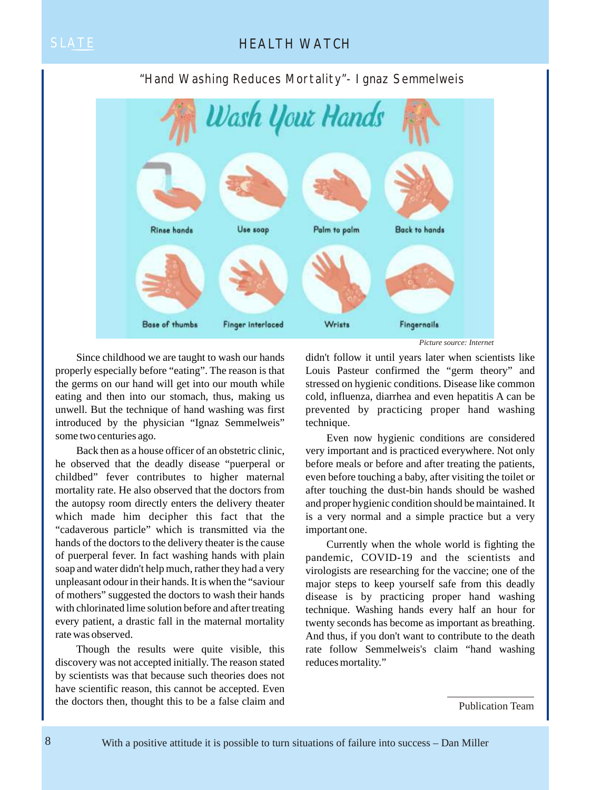## SLATE **HEALTH WATCH**

### "Hand Washing Reduces Mortality"- Ignaz Semmelweis



Since childhood we are taught to wash our hands properly especially before "eating". The reason is that the germs on our hand will get into our mouth while eating and then into our stomach, thus, making us unwell. But the technique of hand washing was first introduced by the physician "Ignaz Semmelweis" some two centuries ago.

Back then as a house officer of an obstetric clinic, he observed that the deadly disease "puerperal or childbed" fever contributes to higher maternal mortality rate. He also observed that the doctors from the autopsy room directly enters the delivery theater which made him decipher this fact that the "cadaverous particle" which is transmitted via the hands of the doctors to the delivery theater is the cause of puerperal fever. In fact washing hands with plain soap and water didn't help much, rather they had a very unpleasant odour in their hands. It is when the "saviour of mothers" suggested the doctors to wash their hands with chlorinated lime solution before and after treating every patient, a drastic fall in the maternal mortality rate was observed.

Though the results were quite visible, this discovery was not accepted initially. The reason stated by scientists was that because such theories does not have scientific reason, this cannot be accepted. Even the doctors then, thought this to be a false claim and

didn't follow it until years later when scientists like Louis Pasteur confirmed the "germ theory" and stressed on hygienic conditions. Disease like common cold, influenza, diarrhea and even hepatitis A can be prevented by practicing proper hand washing technique.

Even now hygienic conditions are considered very important and is practiced everywhere. Not only before meals or before and after treating the patients, even before touching a baby, after visiting the toilet or after touching the dust-bin hands should be washed and proper hygienic condition should be maintained. It is a very normal and a simple practice but a very important one.

Currently when the whole world is fighting the pandemic, COVID-19 and the scientists and virologists are researching for the vaccine; one of the major steps to keep yourself safe from this deadly disease is by practicing proper hand washing technique. Washing hands every half an hour for twenty seconds has become as important as breathing. And thus, if you don't want to contribute to the death rate follow Semmelweis's claim "hand washing reduces mortality."

Publication Team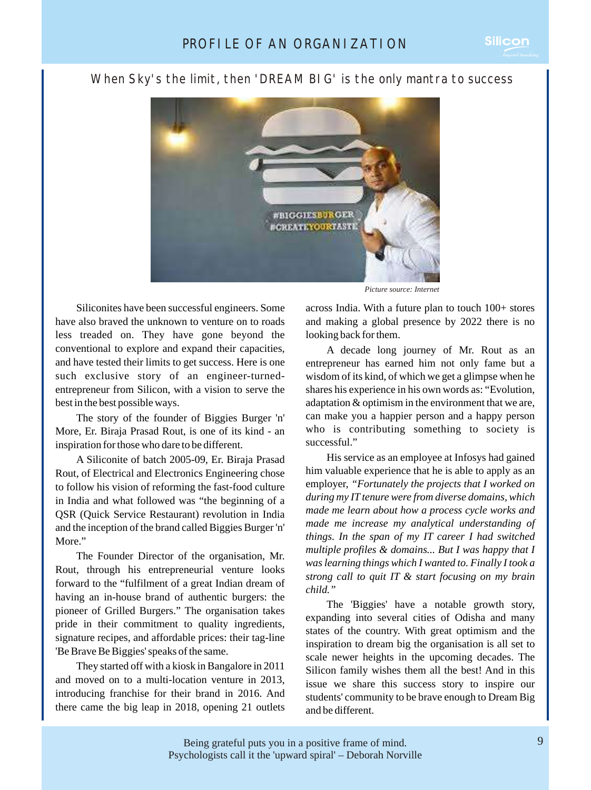### When Sky's the limit, then 'DREAM BIG' is the only mantra to success



Siliconites have been successful engineers. Some have also braved the unknown to venture on to roads less treaded on. They have gone beyond the conventional to explore and expand their capacities, and have tested their limits to get success. Here is one such exclusive story of an engineer-turnedentrepreneur from Silicon, with a vision to serve the best in the best possible ways.

The story of the founder of Biggies Burger 'n' More, Er. Biraja Prasad Rout, is one of its kind - an inspiration for those who dare to be different.

A Siliconite of batch 2005-09, Er. Biraja Prasad Rout, of Electrical and Electronics Engineering chose to follow his vision of reforming the fast-food culture in India and what followed was "the beginning of a QSR (Quick Service Restaurant) revolution in India and the inception of the brand called Biggies Burger 'n' More."

The Founder Director of the organisation, Mr. Rout, through his entrepreneurial venture looks forward to the "fulfilment of a great Indian dream of having an in-house brand of authentic burgers: the pioneer of Grilled Burgers." The organisation takes pride in their commitment to quality ingredients, signature recipes, and affordable prices: their tag-line 'Be Brave Be Biggies' speaks of the same.

They started off with a kiosk in Bangalore in 2011 and moved on to a multi-location venture in 2013, introducing franchise for their brand in 2016. And there came the big leap in 2018, opening 21 outlets

*Picture source: Internet*

across India. With a future plan to touch 100+ stores and making a global presence by 2022 there is no looking back for them.

A decade long journey of Mr. Rout as an entrepreneur has earned him not only fame but a wisdom of its kind, of which we get a glimpse when he shares his experience in his own words as: "Evolution, adaptation & optimism in the environment that we are, can make you a happier person and a happy person who is contributing something to society is successful."

His service as an employee at Infosys had gained him valuable experience that he is able to apply as an employer, *"Fortunately the projects that I worked on during my IT tenure were from diverse domains, which made me learn about how a process cycle works and made me increase my analytical understanding of things. In the span of my IT career I had switched multiple profiles & domains... But I was happy that I was learning things which I wanted to. Finally I took a strong call to quit IT & start focusing on my brain child."*

The 'Biggies' have a notable growth story, expanding into several cities of Odisha and many states of the country. With great optimism and the inspiration to dream big the organisation is all set to scale newer heights in the upcoming decades. The Silicon family wishes them all the best! And in this issue we share this success story to inspire our students' community to be brave enough to Dream Big and be different.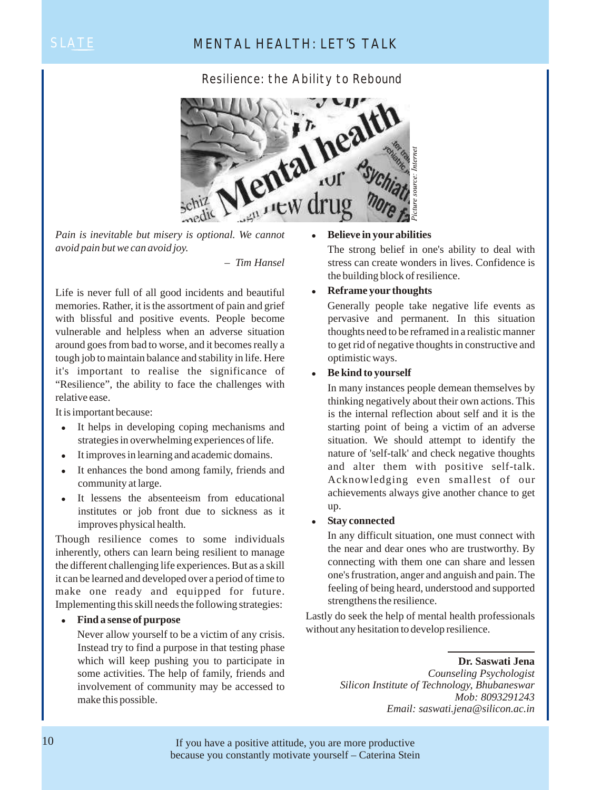## SLATE MENTAL HEALTH: LET'S TALK

Resilience: the Ability to Rebound



*Pain is inevitable but misery is optional. We cannot avoid pain but we can avoid joy.*

*– Tim Hansel*

Life is never full of all good incidents and beautiful memories. Rather, it is the assortment of pain and grief with blissful and positive events. People become vulnerable and helpless when an adverse situation around goes from bad to worse, and it becomes really a tough job to maintain balance and stability in life. Here it's important to realise the significance of "Resilience", the ability to face the challenges with relative ease.

It is important because:

- It helps in developing coping mechanisms and strategies in overwhelming experiences of life.
- It improves in learning and academic domains.
- It enhances the bond among family, friends and community at large.
- It lessens the absenteeism from educational institutes or job front due to sickness as it improves physical health.

Though resilience comes to some individuals inherently, others can learn being resilient to manage the different challenging life experiences. But as a skill it can be learned and developed over a period of time to make one ready and equipped for future. Implementing this skill needs the following strategies:

### <sup>l</sup> **Find a sense of purpose**

Never allow yourself to be a victim of any crisis. Instead try to find a purpose in that testing phase which will keep pushing you to participate in some activities. The help of family, friends and involvement of community may be accessed to make this possible.

### <sup>l</sup> **Believe in your abilities**

The strong belief in one's ability to deal with stress can create wonders in lives. Confidence is the building block of resilience.

### **•** Reframe your thoughts

Generally people take negative life events as pervasive and permanent. In this situation thoughts need to be reframed in a realistic manner to get rid of negative thoughts in constructive and optimistic ways.

### **•** Be kind to yourself

In many instances people demean themselves by thinking negatively about their own actions. This is the internal reflection about self and it is the starting point of being a victim of an adverse situation. We should attempt to identify the nature of 'self-talk' and check negative thoughts and alter them with positive self-talk. Acknowledging even smallest of our achievements always give another chance to get up.

### <sup>l</sup> **Stay connected**

In any difficult situation, one must connect with the near and dear ones who are trustworthy. By connecting with them one can share and lessen one's frustration, anger and anguish and pain. The feeling of being heard, understood and supported strengthens the resilience.

Lastly do seek the help of mental health professionals without any hesitation to develop resilience.

> **Dr. Saswati Jena** *Counseling Psychologist Silicon Institute of Technology, Bhubaneswar Mob: 8093291243 Email: saswati.jena@silicon.ac.in*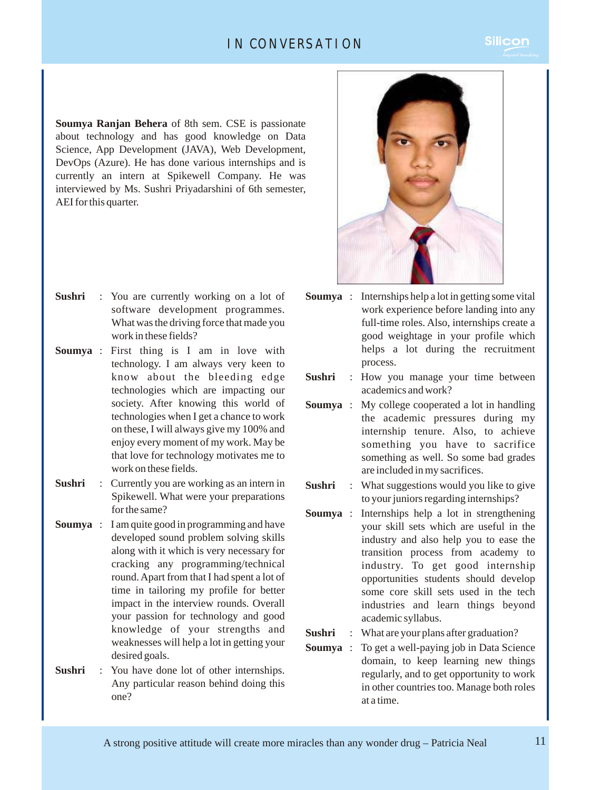### IN CONVERSATION

**Soumya Ranjan Behera** of 8th sem. CSE is passionate about technology and has good knowledge on Data Science, App Development (JAVA), Web Development, DevOps (Azure). He has done various internships and is currently an intern at Spikewell Company. He was interviewed by Ms. Sushri Priyadarshini of 6th semester, AEI for this quarter.

- **Sushri** : You are currently working on a lot of software development programmes. What was the driving force that made you work in these fields?
- **Soumya** : First thing is I am in love with technology. I am always very keen to know about the bleeding edge technologies which are impacting our society. After knowing this world of technologies when I get a chance to work on these, I will always give my 100% and enjoy every moment of my work. May be that love for technology motivates me to work on these fields.
- **Sushri** : Currently you are working as an intern in Spikewell. What were your preparations for the same?
- **Soumya** : I am quite good in programming and have developed sound problem solving skills along with it which is very necessary for cracking any programming/technical round. Apart from that I had spent a lot of time in tailoring my profile for better impact in the interview rounds. Overall your passion for technology and good knowledge of your strengths and weaknesses will help a lot in getting your desired goals.
- **Sushri** : You have done lot of other internships. Any particular reason behind doing this one?



- **Soumya** : Internships help a lot in getting some vital work experience before landing into any full-time roles. Also, internships create a good weightage in your profile which helps a lot during the recruitment process.
- **Sushri** : How you manage your time between academics and work?
- **Soumya** : My college cooperated a lot in handling the academic pressures during my internship tenure. Also, to achieve something you have to sacrifice something as well. So some bad grades are included in my sacrifices.
- **Sushri** : What suggestions would you like to give to your juniors regarding internships?
- **Soumya** : Internships help a lot in strengthening your skill sets which are useful in the industry and also help you to ease the transition process from academy to industry. To get good internship opportunities students should develop some core skill sets used in the tech industries and learn things beyond academic syllabus.
- **Sushri** : What are your plans after graduation?
- **Soumya** : To get a well-paying job in Data Science domain, to keep learning new things regularly, and to get opportunity to work in other countries too. Manage both roles at a time.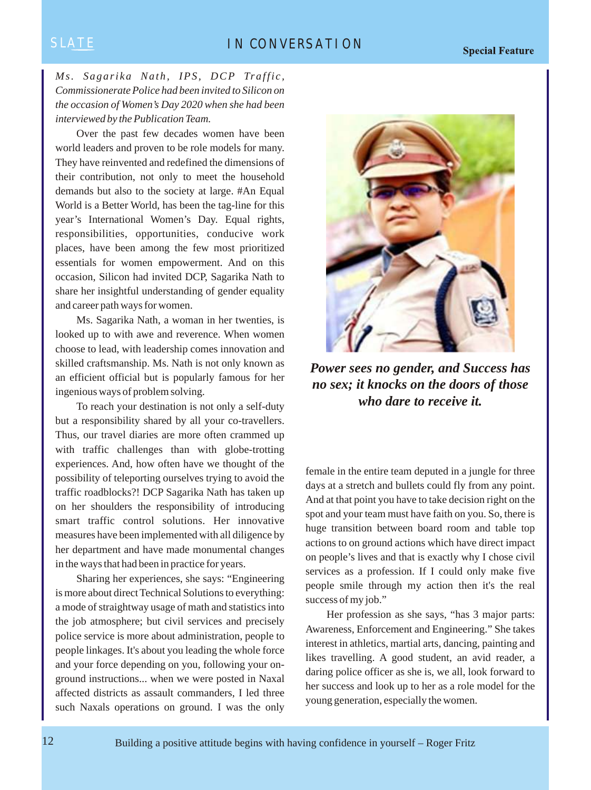### SLATE IN CONVERSATION

*Ms. Sagarika Nath, IPS, DCP Traffic, Commissionerate Police had been invited to Silicon on the occasion of Women's Day 2020 when she had been interviewed by the Publication Team.*

Over the past few decades women have been world leaders and proven to be role models for many. They have reinvented and redefined the dimensions of their contribution, not only to meet the household demands but also to the society at large. #An Equal World is a Better World, has been the tag-line for this year's International Women's Day. Equal rights, responsibilities, opportunities, conducive work places, have been among the few most prioritized essentials for women empowerment. And on this occasion, Silicon had invited DCP, Sagarika Nath to share her insightful understanding of gender equality and career path ways for women.

Ms. Sagarika Nath, a woman in her twenties, is looked up to with awe and reverence. When women choose to lead, with leadership comes innovation and skilled craftsmanship. Ms. Nath is not only known as an efficient official but is popularly famous for her ingenious ways of problem solving.

To reach your destination is not only a self-duty but a responsibility shared by all your co-travellers. Thus, our travel diaries are more often crammed up with traffic challenges than with globe-trotting experiences. And, how often have we thought of the possibility of teleporting ourselves trying to avoid the traffic roadblocks?! DCP Sagarika Nath has taken up on her shoulders the responsibility of introducing smart traffic control solutions. Her innovative measures have been implemented with all diligence by her department and have made monumental changes in the ways that had been in practice for years.

Sharing her experiences, she says: "Engineering is more about direct Technical Solutions to everything: a mode of straightway usage of math and statistics into the job atmosphere; but civil services and precisely police service is more about administration, people to people linkages. It's about you leading the whole force and your force depending on you, following your onground instructions... when we were posted in Naxal affected districts as assault commanders, I led three such Naxals operations on ground. I was the only



*Power sees no gender, and Success has no sex; it knocks on the doors of those who dare to receive it.*

female in the entire team deputed in a jungle for three days at a stretch and bullets could fly from any point. And at that point you have to take decision right on the spot and your team must have faith on you. So, there is huge transition between board room and table top actions to on ground actions which have direct impact on people's lives and that is exactly why I chose civil services as a profession. If I could only make five people smile through my action then it's the real success of my job."

Her profession as she says, "has 3 major parts: Awareness, Enforcement and Engineering." She takes interest in athletics, martial arts, dancing, painting and likes travelling. A good student, an avid reader, a daring police officer as she is, we all, look forward to her success and look up to her as a role model for the young generation, especially the women.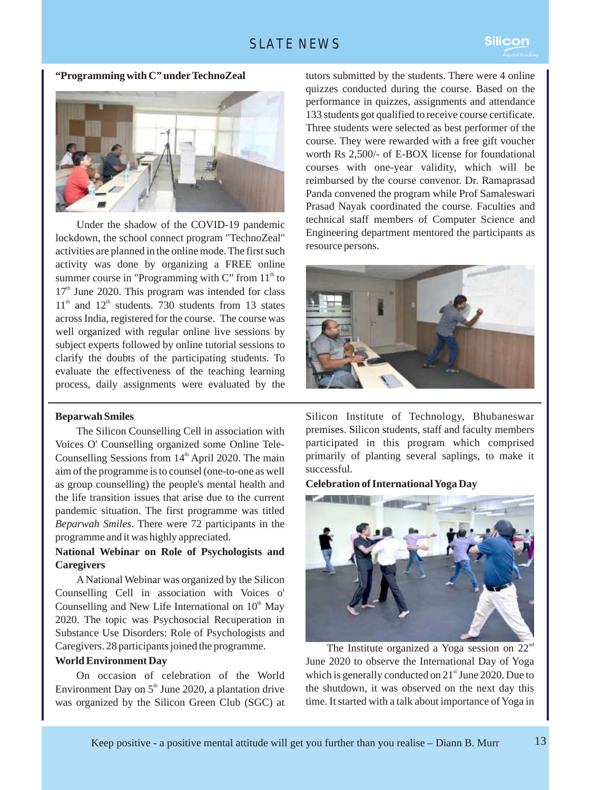### SLATE NEWS

### **"Programming with C" underTechnoZeal**



Under the shadow of the COVID-19 pandemic lockdown, the school connect program "TechnoZeal" activities are planned in the online mode. The first such activity was done by organizing a FREE online summer course in "Programming with C" from  $11<sup>th</sup>$  to  $17<sup>th</sup>$  June 2020. This program was intended for class  $11<sup>th</sup>$  and  $12<sup>th</sup>$  students. 730 students from 13 states across India, registered for the course. The course was well organized with regular online live sessions by subject experts followed by online tutorial sessions to clarify the doubts of the participating students. To evaluate the effectiveness of the teaching learning process, daily assignments were evaluated by the

### **Beparwah Smiles**

The Silicon Counselling Cell in association with Voices O' Counselling organized some Online Tele-Counselling Sessions from  $14<sup>th</sup>$  April 2020. The main aim of the programme is to counsel (one-to-one as well as group counselling) the people's mental health and the life transition issues that arise due to the current pandemic situation. The first programme was titled *Beparwah Smiles*. There were 72 participants in the programme and it was highly appreciated.

### **National Webinar on Role of Psychologists and Caregivers**

A National Webinar was organized by the Silicon Counselling Cell in association with Voices o' Counselling and New Life International on  $10<sup>th</sup>$  May 2020. The topic was Psychosocial Recuperation in Substance Use Disorders: Role of Psychologists and Caregivers. 28 participants joined the programme.

### **World Environment Day**

On occasion of celebration of the World Environment Day on  $5<sup>th</sup>$  June 2020, a plantation drive was organized by the Silicon Green Club (SGC) at

tutors submitted by the students. There were 4 online quizzes conducted during the course. Based on the performance in quizzes, assignments and attendance 133 students got qualified to receive course certificate. Three students were selected as best performer of the course. They were rewarded with a free gift voucher worth Rs 2,500/- of E-BOX license for foundational courses with one-year validity, which will be reimbursed by the course convenor. Dr. Ramaprasad Panda convened the program while Prof Samaleswari Prasad Nayak coordinated the course. Faculties and technical staff members of Computer Science and Engineering department mentored the participants as resource persons.



Silicon Institute of Technology, Bhubaneswar premises. Silicon students, staff and faculty members participated in this program which comprised primarily of planting several saplings, to make it successful.

### **Celebration of International Yoga Day**



The Institute organized a Yoga session on  $22<sup>nd</sup>$ June 2020 to observe the International Day of Yoga which is generally conducted on  $21<sup>st</sup>$  June 2020. Due to the shutdown, it was observed on the next day this time. It started with a talk about importance of Yoga in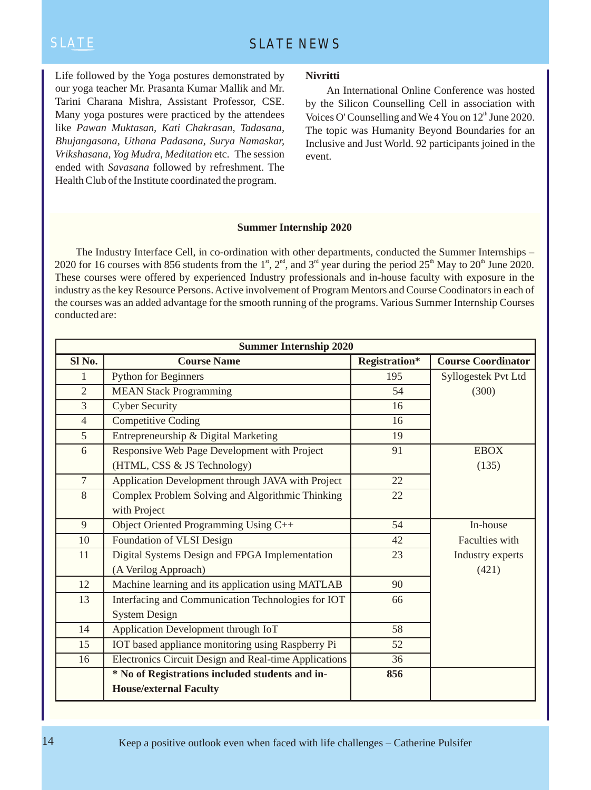Life followed by the Yoga postures demonstrated by our yoga teacher Mr. Prasanta Kumar Mallik and Mr. Tarini Charana Mishra, Assistant Professor, CSE. Many yoga postures were practiced by the attendees like *Pawan Muktasan, Kati Chakrasan, Tadasana, Bhujangasana, Uthana Padasana, Surya Namaskar, Vrikshasana, Yog Mudra*, *Meditation* etc. The session ended with *Savasana* followed by refreshment. The Health Club of the Institute coordinated the program.

### **Nivritti**

An International Online Conference was hosted by the Silicon Counselling Cell in association with Voices O' Counselling and We 4 You on  $12<sup>th</sup>$  June 2020. The topic was Humanity Beyond Boundaries for an Inclusive and Just World. 92 participants joined in the event.

### **Summer Internship 2020**

The Industry Interface Cell, in co-ordination with other departments, conducted the Summer Internships – 2020 for 16 courses with 856 students from the 1<sup>st</sup>, 2<sup>nd</sup>, and 3<sup>rd</sup> year during the period 25<sup>th</sup> May to 20<sup>th</sup> June 2020. These courses were offered by experienced Industry professionals and in-house faculty with exposure in the industry as the key Resource Persons. Active involvement of Program Mentors and Course Coodinators in each of the courses was an added advantage for the smooth running of the programs. Various Summer Internship Courses conducted are:

| <b>Summer Internship 2020</b> |                                                       |                      |                           |
|-------------------------------|-------------------------------------------------------|----------------------|---------------------------|
| Sl No.                        | <b>Course Name</b>                                    | <b>Registration*</b> | <b>Course Coordinator</b> |
| 1                             | <b>Python for Beginners</b>                           | 195                  | Syllogestek Pvt Ltd       |
| $\overline{2}$                | <b>MEAN Stack Programming</b>                         | 54                   | (300)                     |
| $\overline{3}$                | <b>Cyber Security</b>                                 | 16                   |                           |
| $\overline{4}$                | <b>Competitive Coding</b>                             | 16                   |                           |
| $\mathfrak{S}$                | Entrepreneurship & Digital Marketing                  | 19                   |                           |
| 6                             | Responsive Web Page Development with Project          | 91                   | <b>EBOX</b>               |
|                               | (HTML, CSS & JS Technology)                           |                      | (135)                     |
| $\overline{7}$                | Application Development through JAVA with Project     | 22                   |                           |
| 8                             | Complex Problem Solving and Algorithmic Thinking      | 22                   |                           |
|                               | with Project                                          |                      |                           |
| 9                             | Object Oriented Programming Using C++                 | 54                   | In-house                  |
| 10                            | Foundation of VLSI Design                             | 42                   | Faculties with            |
| 11                            | Digital Systems Design and FPGA Implementation        | 23                   | Industry experts          |
|                               | (A Verilog Approach)                                  |                      | (421)                     |
| 12                            | Machine learning and its application using MATLAB     | 90                   |                           |
| 13                            | Interfacing and Communication Technologies for IOT    | 66                   |                           |
|                               | <b>System Design</b>                                  |                      |                           |
| 14                            | Application Development through IoT                   | 58                   |                           |
| 15                            | IOT based appliance monitoring using Raspberry Pi     | 52                   |                           |
| 16                            | Electronics Circuit Design and Real-time Applications | 36                   |                           |
|                               | * No of Registrations included students and in-       | 856                  |                           |
|                               | <b>House/external Faculty</b>                         |                      |                           |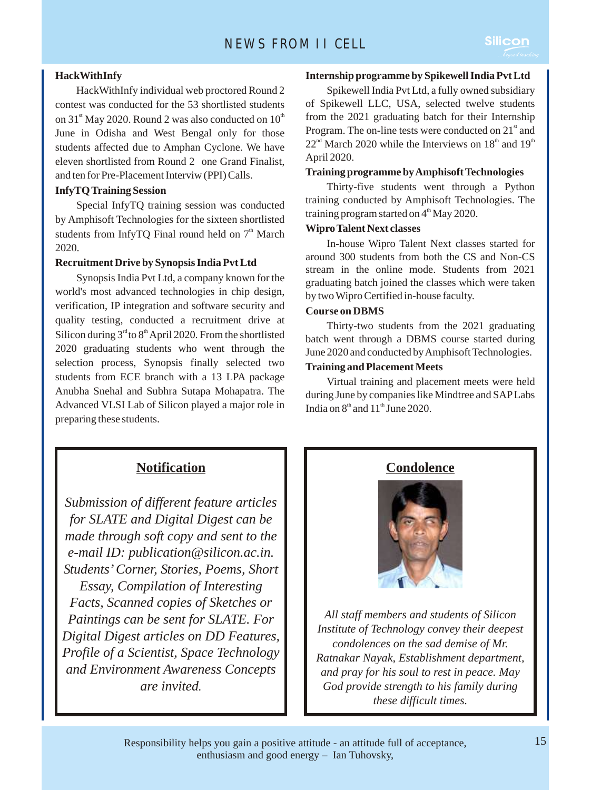HackWithInfy individual web proctored Round 2 contest was conducted for the 53 shortlisted students on  $31<sup>st</sup>$  May 2020. Round 2 was also conducted on  $10<sup>th</sup>$ June in Odisha and West Bengal only for those students affected due to Amphan Cyclone. We have eleven shortlisted from Round 2 one Grand Finalist, and ten for Pre-Placement Interviw (PPI) Calls.

### **InfyTQ Training Session**

Special InfyTQ training session was conducted by Amphisoft Technologies for the sixteen shortlisted students from InfyTQ Final round held on  $7<sup>th</sup>$  March 2020.

### **Recruitment Drive by Synopsis India Pvt Ltd**

Synopsis India Pvt Ltd, a company known for the world's most advanced technologies in chip design, verification, IP integration and software security and quality testing, conducted a recruitment drive at Silicon during  $3<sup>rd</sup>$  to  $8<sup>th</sup>$  April 2020. From the shortlisted 2020 graduating students who went through the selection process, Synopsis finally selected two students from ECE branch with a 13 LPA package Anubha Snehal and Subhra Sutapa Mohapatra. The Advanced VLSI Lab of Silicon played a major role in preparing these students.

### **Internship programme by Spikewell India Pvt Ltd**

**Silicon** 

Spikewell India Pvt Ltd, a fully owned subsidiary of Spikewell LLC, USA, selected twelve students from the 2021 graduating batch for their Internship Program. The on-line tests were conducted on  $21<sup>st</sup>$  and  $22<sup>nd</sup>$  March 2020 while the Interviews on  $18<sup>th</sup>$  and  $19<sup>th</sup>$ April 2020.

### **Training programme by Amphisoft Technologies**

Thirty-five students went through a Python training conducted by Amphisoft Technologies. The training program started on  $4<sup>th</sup>$  May 2020.

### **Wipro Talent Next classes**

In-house Wipro Talent Next classes started for around 300 students from both the CS and Non-CS stream in the online mode. Students from 2021 graduating batch joined the classes which were taken by two Wipro Certified in-house faculty.

### **Course on DBMS**

Thirty-two students from the 2021 graduating batch went through a DBMS course started during June 2020 and conducted by Amphisoft Technologies.

### **Training and Placement Meets**

Virtual training and placement meets were held during June by companies like Mindtree and SAP Labs India on  $8^{\text{th}}$  and  $11^{\text{th}}$  June 2020.

### **Notification**

*Submission of different feature articles for SLATE and Digital Digest can be made through soft copy and sent to the e-mail ID: publication@silicon.ac.in. Students' Corner, Stories, Poems, Short Essay, Compilation of Interesting Facts, Scanned copies of Sketches or Paintings can be sent for SLATE. For Digital Digest articles on DD Features, Profile of a Scientist, Space Technology and Environment Awareness Concepts are invited.*

### **Condolence**



*All staff members and students of Silicon Institute of Technology convey their deepest condolences on the sad demise of Mr. Ratnakar Nayak, Establishment department, and pray for his soul to rest in peace. May God provide strength to his family during these difficult times.*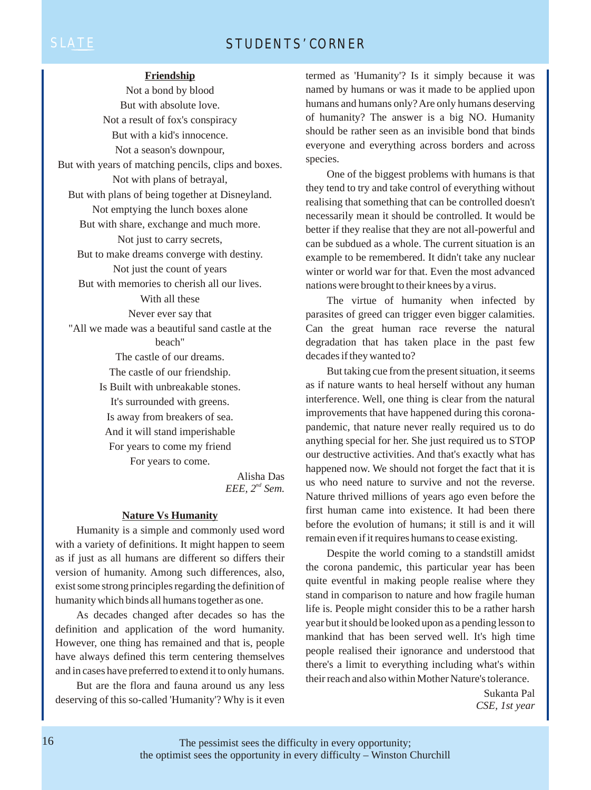### SLATE STUDENTS' CORNER

### **Friendship**

Not a bond by blood But with absolute love. Not a result of fox's conspiracy But with a kid's innocence. Not a season's downpour, But with years of matching pencils, clips and boxes. Not with plans of betrayal, But with plans of being together at Disneyland. Not emptying the lunch boxes alone But with share, exchange and much more. Not just to carry secrets, But to make dreams converge with destiny. Not just the count of years But with memories to cherish all our lives. With all these Never ever say that "All we made was a beautiful sand castle at the beach" The castle of our dreams. The castle of our friendship. Is Built with unbreakable stones. It's surrounded with greens. Is away from breakers of sea. And it will stand imperishable For years to come my friend For years to come.

> Alisha Das *EEE,*  $2^{nd}$  *Sem.*

### **Nature Vs Humanity**

Humanity is a simple and commonly used word with a variety of definitions. It might happen to seem as if just as all humans are different so differs their version of humanity. Among such differences, also, exist some strong principles regarding the definition of humanity which binds all humans together as one.

As decades changed after decades so has the definition and application of the word humanity. However, one thing has remained and that is, people have always defined this term centering themselves and in cases have preferred to extend it to only humans.

But are the flora and fauna around us any less deserving of this so-called 'Humanity'? Why is it even termed as 'Humanity'? Is it simply because it was named by humans or was it made to be applied upon humans and humans only? Are only humans deserving of humanity? The answer is a big NO. Humanity should be rather seen as an invisible bond that binds everyone and everything across borders and across species.

One of the biggest problems with humans is that they tend to try and take control of everything without realising that something that can be controlled doesn't necessarily mean it should be controlled. It would be better if they realise that they are not all-powerful and can be subdued as a whole. The current situation is an example to be remembered. It didn't take any nuclear winter or world war for that. Even the most advanced nations were brought to their knees by a virus.

The virtue of humanity when infected by parasites of greed can trigger even bigger calamities. Can the great human race reverse the natural degradation that has taken place in the past few decades if they wanted to?

But taking cue from the present situation, it seems as if nature wants to heal herself without any human interference. Well, one thing is clear from the natural improvements that have happened during this coronapandemic, that nature never really required us to do anything special for her. She just required us to STOP our destructive activities. And that's exactly what has happened now. We should not forget the fact that it is us who need nature to survive and not the reverse. Nature thrived millions of years ago even before the first human came into existence. It had been there before the evolution of humans; it still is and it will remain even if it requires humans to cease existing.

Despite the world coming to a standstill amidst the corona pandemic, this particular year has been quite eventful in making people realise where they stand in comparison to nature and how fragile human life is. People might consider this to be a rather harsh year but it should be looked upon as a pending lesson to mankind that has been served well. It's high time people realised their ignorance and understood that there's a limit to everything including what's within their reach and also within Mother Nature's tolerance.

> Sukanta Pal *CSE, 1st year*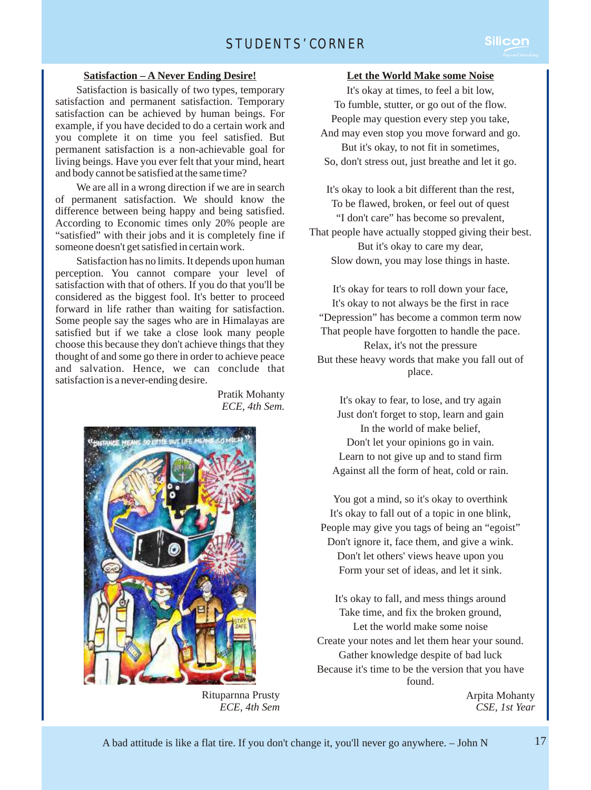# STUDENTS' CORNER

### **Satisfaction – A Never Ending Desire!**

Satisfaction is basically of two types, temporary satisfaction and permanent satisfaction. Temporary satisfaction can be achieved by human beings. For example, if you have decided to do a certain work and you complete it on time you feel satisfied. But permanent satisfaction is a non-achievable goal for living beings. Have you ever felt that your mind, heart and body cannot be satisfied at the same time?

We are all in a wrong direction if we are in search of permanent satisfaction. We should know the difference between being happy and being satisfied. According to Economic times only 20% people are "satisfied" with their jobs and it is completely fine if someone doesn't get satisfied in certain work.

Satisfaction has no limits. It depends upon human perception. You cannot compare your level of satisfaction with that of others. If you do that you'll be considered as the biggest fool. It's better to proceed forward in life rather than waiting for satisfaction. Some people say the sages who are in Himalayas are satisfied but if we take a close look many people choose this because they don't achieve things that they thought of and some go there in order to achieve peace and salvation. Hence, we can conclude that satisfaction is a never-ending desire.

> Pratik Mohanty *ECE, 4th Sem.*



Rituparnna Prusty *ECE, 4th Sem*

### **Let the World Make some Noise**

It's okay at times, to feel a bit low, To fumble, stutter, or go out of the flow. People may question every step you take, And may even stop you move forward and go. But it's okay, to not fit in sometimes, So, don't stress out, just breathe and let it go.

It's okay to look a bit different than the rest, To be flawed, broken, or feel out of quest "I don't care" has become so prevalent, That people have actually stopped giving their best. But it's okay to care my dear, Slow down, you may lose things in haste.

It's okay for tears to roll down your face, It's okay to not always be the first in race "Depression" has become a common term now That people have forgotten to handle the pace. Relax, it's not the pressure But these heavy words that make you fall out of place.

It's okay to fear, to lose, and try again Just don't forget to stop, learn and gain In the world of make belief, Don't let your opinions go in vain. Learn to not give up and to stand firm Against all the form of heat, cold or rain.

You got a mind, so it's okay to overthink It's okay to fall out of a topic in one blink, People may give you tags of being an "egoist" Don't ignore it, face them, and give a wink. Don't let others' views heave upon you Form your set of ideas, and let it sink.

It's okay to fall, and mess things around Take time, and fix the broken ground, Let the world make some noise Create your notes and let them hear your sound. Gather knowledge despite of bad luck Because it's time to be the version that you have found.

> Arpita Mohanty *CSE, 1st Year*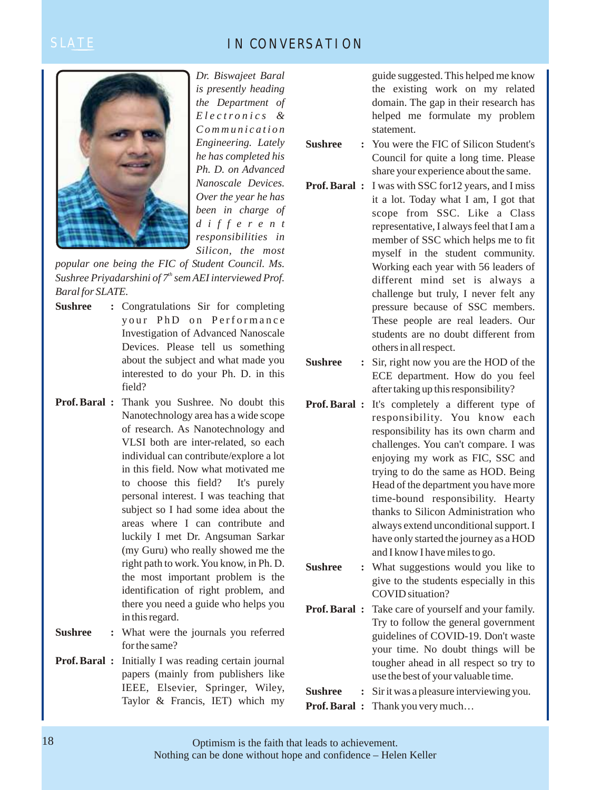## SLATE IN CONVERSATION



*Dr. Biswajeet Baral is presently heading the Department of Electr onics & Communication Engineering. Lately he has completed his Ph. D. on Advanced Nanoscale Devices. Over the year he has been in charge of differ ent responsibilities in Silicon, the most* 

*popular one being the FIC of Student Council. Ms. Sushree Priyadarshini of*  $7<sup>th</sup>$  *sem AEI interviewed Prof. Baral for SLATE.*

- **Sushree :** Congratulations Sir for completing your PhD on Performance Investigation of Advanced Nanoscale Devices. Please tell us something about the subject and what made you interested to do your Ph. D. in this field?
- **Prof. Baral :** Thank you Sushree. No doubt this Nanotechnology area has a wide scope of research. As Nanotechnology and VLSI both are inter-related, so each individual can contribute/explore a lot in this field. Now what motivated me to choose this field? It's purely personal interest. I was teaching that subject so I had some idea about the areas where I can contribute and luckily I met Dr. Angsuman Sarkar (my Guru) who really showed me the right path to work. You know, in Ph. D. the most important problem is the identification of right problem, and there you need a guide who helps you in this regard.
- **Sushree :** What were the journals you referred for the same?
- **Prof. Baral :** Initially I was reading certain journal papers (mainly from publishers like IEEE, Elsevier, Springer, Wiley, Taylor & Francis, IET) which my

guide suggested. This helped me know the existing work on my related domain. The gap in their research has helped me formulate my problem statement.

**Sushree :** You were the FIC of Silicon Student's Council for quite a long time. Please share your experience about the same.

- **Prof. Baral :** I was with SSC for12 years, and I miss it a lot. Today what I am, I got that scope from SSC. Like a Class representative, I always feel that I am a member of SSC which helps me to fit myself in the student community. Working each year with 56 leaders of different mind set is always a challenge but truly, I never felt any pressure because of SSC members. These people are real leaders. Our students are no doubt different from others in all respect.
- **Sushree :** Sir, right now you are the HOD of the ECE department. How do you feel after taking up this responsibility?
- **Prof. Baral :** It's completely a different type of responsibility. You know each responsibility has its own charm and challenges. You can't compare. I was enjoying my work as FIC, SSC and trying to do the same as HOD. Being Head of the department you have more time-bound responsibility. Hearty thanks to Silicon Administration who always extend unconditional support. I have only started the journey as a HOD and I know I have miles to go.
- **Sushree :** What suggestions would you like to give to the students especially in this COVID situation?
- **Prof. Baral :** Take care of yourself and your family. Try to follow the general government guidelines of COVID-19. Don't waste your time. No doubt things will be tougher ahead in all respect so try to use the best of your valuable time.
- **Sushree** : Sir it was a pleasure interviewing you.
- **Prof. Baral :** Thank you very much…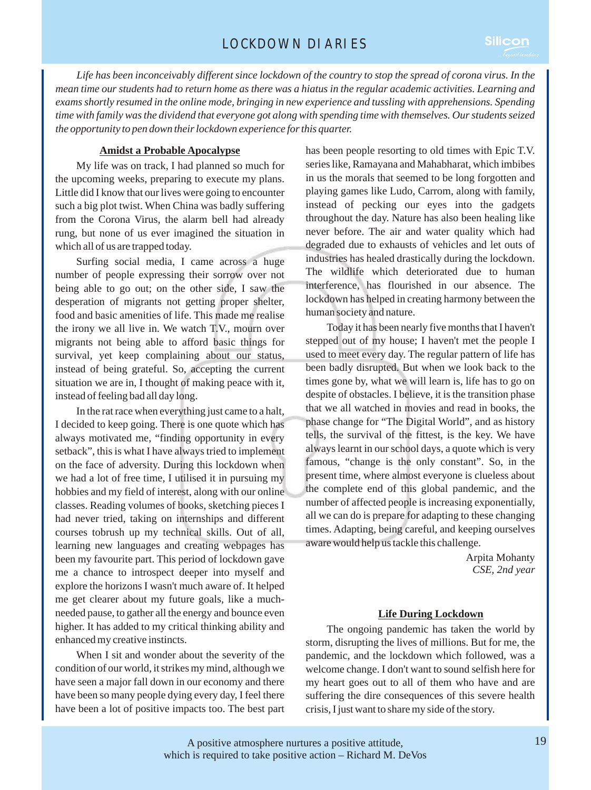*Life has been inconceivably different since lockdown of the country to stop the spread of corona virus. In the mean time our students had to return home as there was a hiatus in the regular academic activities. Learning and exams shortly resumed in the online mode, bringing in new experience and tussling with apprehensions. Spending time with family was the dividend that everyone got along with spending time with themselves. Our students seized the opportunity to pen down their lockdown experience for this quarter.*

### **Amidst a Probable Apocalypse**

My life was on track, I had planned so much for the upcoming weeks, preparing to execute my plans. Little did I know that our lives were going to encounter such a big plot twist. When China was badly suffering from the Corona Virus, the alarm bell had already rung, but none of us ever imagined the situation in which all of us are trapped today.

Surfing social media, I came across a huge number of people expressing their sorrow over not being able to go out; on the other side, I saw the desperation of migrants not getting proper shelter, food and basic amenities of life. This made me realise the irony we all live in. We watch T.V., mourn over migrants not being able to afford basic things for survival, yet keep complaining about our status, instead of being grateful. So, accepting the current situation we are in, I thought of making peace with it, instead of feeling bad all day long.

In the rat race when everything just came to a halt, I decided to keep going. There is one quote which has always motivated me, "finding opportunity in every setback", this is what I have always tried to implement on the face of adversity. During this lockdown when we had a lot of free time, I utilised it in pursuing my hobbies and my field of interest, along with our online classes. Reading volumes of books, sketching pieces I had never tried, taking on internships and different courses tobrush up my technical skills. Out of all, learning new languages and creating webpages has been my favourite part. This period of lockdown gave me a chance to introspect deeper into myself and explore the horizons I wasn't much aware of. It helped me get clearer about my future goals, like a muchneeded pause, to gather all the energy and bounce even higher. It has added to my critical thinking ability and enhanced my creative instincts.

When I sit and wonder about the severity of the condition of our world, it strikes my mind, although we have seen a major fall down in our economy and there have been so many people dying every day, I feel there have been a lot of positive impacts too. The best part has been people resorting to old times with Epic T.V. series like, Ramayana and Mahabharat, which imbibes in us the morals that seemed to be long forgotten and playing games like Ludo, Carrom, along with family, instead of pecking our eyes into the gadgets throughout the day. Nature has also been healing like never before. The air and water quality which had degraded due to exhausts of vehicles and let outs of industries has healed drastically during the lockdown. The wildlife which deteriorated due to human interference, has flourished in our absence. The lockdown has helped in creating harmony between the human society and nature.

Today it has been nearly five months that I haven't stepped out of my house; I haven't met the people I used to meet every day. The regular pattern of life has been badly disrupted. But when we look back to the times gone by, what we will learn is, life has to go on despite of obstacles. I believe, it is the transition phase that we all watched in movies and read in books, the phase change for "The Digital World", and as history tells, the survival of the fittest, is the key. We have always learnt in our school days, a quote which is very famous, "change is the only constant". So, in the present time, where almost everyone is clueless about the complete end of this global pandemic, and the number of affected people is increasing exponentially, all we can do is prepare for adapting to these changing times. Adapting, being careful, and keeping ourselves aware would help us tackle this challenge.

> Arpita Mohanty *CSE, 2nd year*

### **Life During Lockdown**

The ongoing pandemic has taken the world by storm, disrupting the lives of millions. But for me, the pandemic, and the lockdown which followed, was a welcome change. I don't want to sound selfish here for my heart goes out to all of them who have and are suffering the dire consequences of this severe health crisis, I just want to share my side of the story.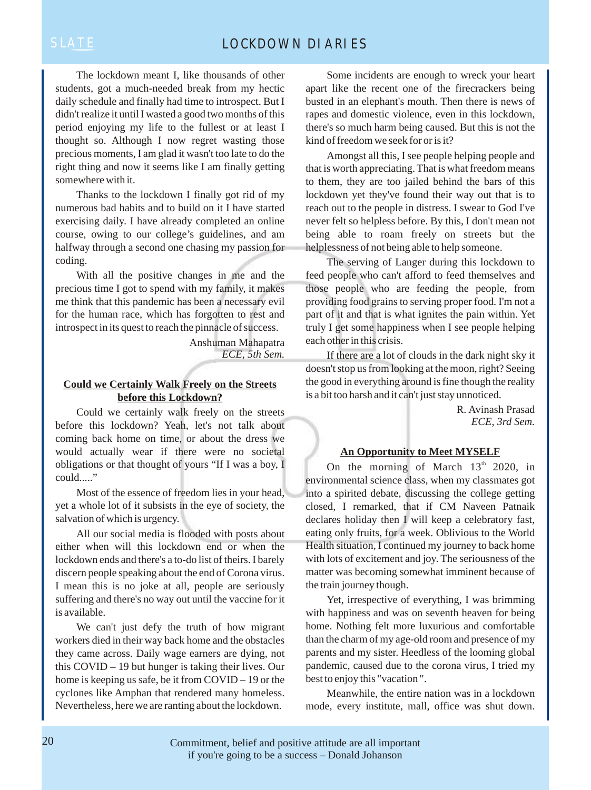The lockdown meant I, like thousands of other students, got a much-needed break from my hectic daily schedule and finally had time to introspect. But I didn't realize it until I wasted a good two months of this period enjoying my life to the fullest or at least I thought so. Although I now regret wasting those precious moments, I am glad it wasn't too late to do the right thing and now it seems like I am finally getting somewhere with it.

Thanks to the lockdown I finally got rid of my numerous bad habits and to build on it I have started exercising daily. I have already completed an online course, owing to our college's guidelines, and am halfway through a second one chasing my passion for coding.

With all the positive changes in me and the precious time I got to spend with my family, it makes me think that this pandemic has been a necessary evil for the human race, which has forgotten to rest and introspect in its quest to reach the pinnacle of success.

> Anshuman Mahapatra *ECE, 5th Sem.*

### **Could we Certainly Walk Freely on the Streets before this Lockdown?**

Could we certainly walk freely on the streets before this lockdown? Yeah, let's not talk about coming back home on time, or about the dress we would actually wear if there were no societal obligations or that thought of yours "If I was a boy, I could....."

Most of the essence of freedom lies in your head, yet a whole lot of it subsists in the eye of society, the salvation of which is urgency.

All our social media is flooded with posts about either when will this lockdown end or when the lockdown ends and there's a to-do list of theirs. I barely discern people speaking about the end of Corona virus. I mean this is no joke at all, people are seriously suffering and there's no way out until the vaccine for it is available.

We can't just defy the truth of how migrant workers died in their way back home and the obstacles they came across. Daily wage earners are dying, not this COVID – 19 but hunger is taking their lives. Our home is keeping us safe, be it from COVID – 19 or the cyclones like Amphan that rendered many homeless. Nevertheless, here we are ranting about the lockdown.

Some incidents are enough to wreck your heart apart like the recent one of the firecrackers being busted in an elephant's mouth. Then there is news of rapes and domestic violence, even in this lockdown, there's so much harm being caused. But this is not the kind of freedom we seek for or is it?

Amongst all this, I see people helping people and that is worth appreciating. That is what freedom means to them, they are too jailed behind the bars of this lockdown yet they've found their way out that is to reach out to the people in distress. I swear to God I've never felt so helpless before. By this, I don't mean not being able to roam freely on streets but the helplessness of not being able to help someone.

The serving of Langer during this lockdown to feed people who can't afford to feed themselves and those people who are feeding the people, from providing food grains to serving proper food. I'm not a part of it and that is what ignites the pain within. Yet truly I get some happiness when I see people helping each other in this crisis.

If there are a lot of clouds in the dark night sky it doesn't stop us from looking at the moon, right? Seeing the good in everything around is fine though the reality is a bit too harsh and it can't just stay unnoticed.

> R. Avinash Prasad *ECE, 3rd Sem.*

### **An Opportunity to Meet MYSELF**

On the morning of March  $13<sup>th</sup>$  2020, in environmental science class, when my classmates got into a spirited debate, discussing the college getting closed, I remarked, that if CM Naveen Patnaik declares holiday then I will keep a celebratory fast, eating only fruits, for a week. Oblivious to the World Health situation, I continued my journey to back home with lots of excitement and joy. The seriousness of the matter was becoming somewhat imminent because of the train journey though.

Yet, irrespective of everything, I was brimming with happiness and was on seventh heaven for being home. Nothing felt more luxurious and comfortable than the charm of my age-old room and presence of my parents and my sister. Heedless of the looming global pandemic, caused due to the corona virus, I tried my best to enjoy this "vacation ".

Meanwhile, the entire nation was in a lockdown mode, every institute, mall, office was shut down.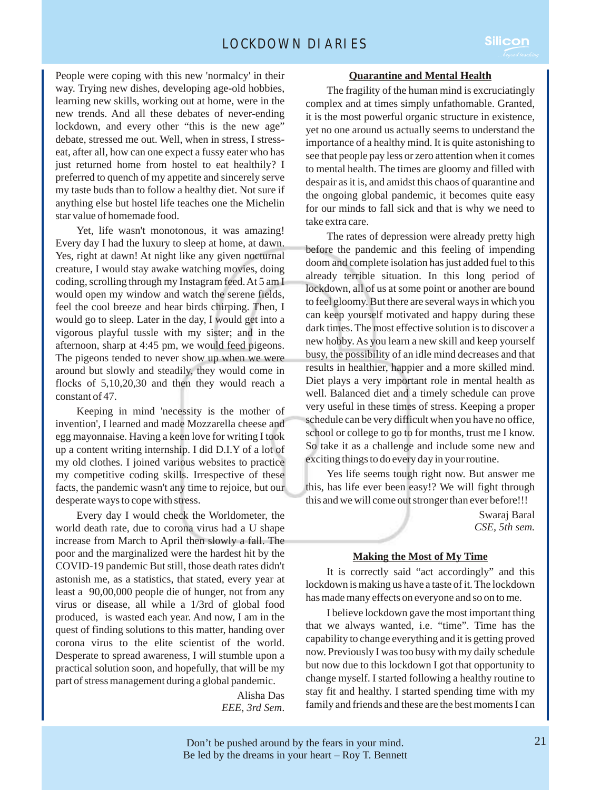

People were coping with this new 'normalcy' in their way. Trying new dishes, developing age-old hobbies, learning new skills, working out at home, were in the new trends. And all these debates of never-ending lockdown, and every other "this is the new age" debate, stressed me out. Well, when in stress, I stresseat, after all, how can one expect a fussy eater who has just returned home from hostel to eat healthily? I preferred to quench of my appetite and sincerely serve my taste buds than to follow a healthy diet. Not sure if anything else but hostel life teaches one the Michelin star value of homemade food.

Yet, life wasn't monotonous, it was amazing! Every day I had the luxury to sleep at home, at dawn. Yes, right at dawn! At night like any given nocturnal creature, I would stay awake watching movies, doing coding, scrolling through my Instagram feed. At 5 am I would open my window and watch the serene fields, feel the cool breeze and hear birds chirping. Then, I would go to sleep. Later in the day, I would get into a vigorous playful tussle with my sister; and in the afternoon, sharp at 4:45 pm, we would feed pigeons. The pigeons tended to never show up when we were around but slowly and steadily, they would come in flocks of 5,10,20,30 and then they would reach a constant of 47.

Keeping in mind 'necessity is the mother of invention', I learned and made Mozzarella cheese and egg mayonnaise. Having a keen love for writing I took up a content writing internship. I did D.I.Y of a lot of my old clothes. I joined various websites to practice my competitive coding skills. Irrespective of these facts, the pandemic wasn't any time to rejoice, but our desperate ways to cope with stress.

Every day I would check the Worldometer, the world death rate, due to corona virus had a U shape increase from March to April then slowly a fall. The poor and the marginalized were the hardest hit by the COVID-19 pandemic But still, those death rates didn't astonish me, as a statistics, that stated, every year at least a 90,00,000 people die of hunger, not from any virus or disease, all while a 1/3rd of global food produced, is wasted each year. And now, I am in the quest of finding solutions to this matter, handing over corona virus to the elite scientist of the world. Desperate to spread awareness, I will stumble upon a practical solution soon, and hopefully, that will be my part of stress management during a global pandemic.

> Alisha Das *EEE, 3rd Sem*.

### **Quarantine and Mental Health**

The fragility of the human mind is excruciatingly complex and at times simply unfathomable. Granted, it is the most powerful organic structure in existence, yet no one around us actually seems to understand the importance of a healthy mind. It is quite astonishing to see that people pay less or zero attention when it comes to mental health. The times are gloomy and filled with despair as it is, and amidst this chaos of quarantine and the ongoing global pandemic, it becomes quite easy for our minds to fall sick and that is why we need to take extra care.

The rates of depression were already pretty high before the pandemic and this feeling of impending doom and complete isolation has just added fuel to this already terrible situation. In this long period of lockdown, all of us at some point or another are bound to feel gloomy. But there are several ways in which you can keep yourself motivated and happy during these dark times. The most effective solution is to discover a new hobby. As you learn a new skill and keep yourself busy, the possibility of an idle mind decreases and that results in healthier, happier and a more skilled mind. Diet plays a very important role in mental health as well. Balanced diet and a timely schedule can prove very useful in these times of stress. Keeping a proper schedule can be very difficult when you have no office, school or college to go to for months, trust me I know. So take it as a challenge and include some new and exciting things to do every day in your routine.

Yes life seems tough right now. But answer me this, has life ever been easy!? We will fight through this and we will come out stronger than ever before!!!

> Swaraj Baral *CSE, 5th sem.*

### **Making the Most of My Time**

It is correctly said "act accordingly" and this lockdown is making us have a taste of it. The lockdown has made many effects on everyone and so on to me.

I believe lockdown gave the most important thing that we always wanted, i.e. "time". Time has the capability to change everything and it is getting proved now. Previously I was too busy with my daily schedule but now due to this lockdown I got that opportunity to change myself. I started following a healthy routine to stay fit and healthy. I started spending time with my family and friends and these are the best moments I can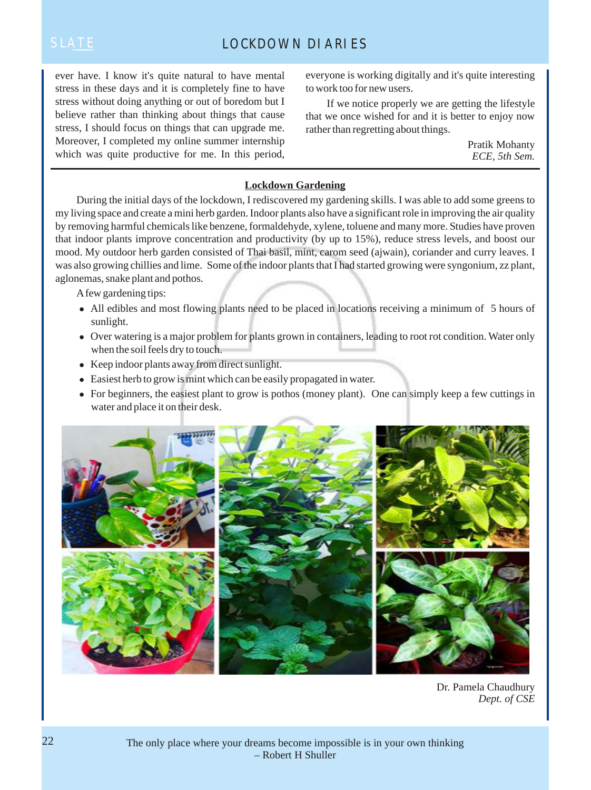ever have. I know it's quite natural to have mental stress in these days and it is completely fine to have stress without doing anything or out of boredom but I believe rather than thinking about things that cause stress, I should focus on things that can upgrade me. Moreover, I completed my online summer internship which was quite productive for me. In this period, everyone is working digitally and it's quite interesting to work too for new users.

If we notice properly we are getting the lifestyle that we once wished for and it is better to enjoy now rather than regretting about things.

> Pratik Mohanty *ECE, 5th Sem.*

### **Lockdown Gardening**

During the initial days of the lockdown, I rediscovered my gardening skills. I was able to add some greens to my living space and create a mini herb garden. Indoor plants also have a significant role in improving the air quality by removing harmful chemicals like benzene, formaldehyde, xylene, toluene and many more. Studies have proven that indoor plants improve concentration and productivity (by up to 15%), reduce stress levels, and boost our mood. My outdoor herb garden consisted of Thai basil, mint, carom seed (ajwain), coriander and curry leaves. I was also growing chillies and lime. Some of the indoor plants that I had started growing were syngonium, zz plant, aglonemas, snake plant and pothos.

A few gardening tips:

- All edibles and most flowing plants need to be placed in locations receiving a minimum of 5 hours of sunlight.
- <sup>l</sup> Over watering is a major problem for plants grown in containers, leading to root rot condition. Water only when the soil feels dry to touch.
- $\bullet$  Keep indoor plants away from direct sunlight.
- $\bullet$  Easiest herb to grow is mint which can be easily propagated in water.
- For beginners, the easiest plant to grow is pothos (money plant). One can simply keep a few cuttings in water and place it on their desk.



Dr. Pamela Chaudhury *Dept. of CSE*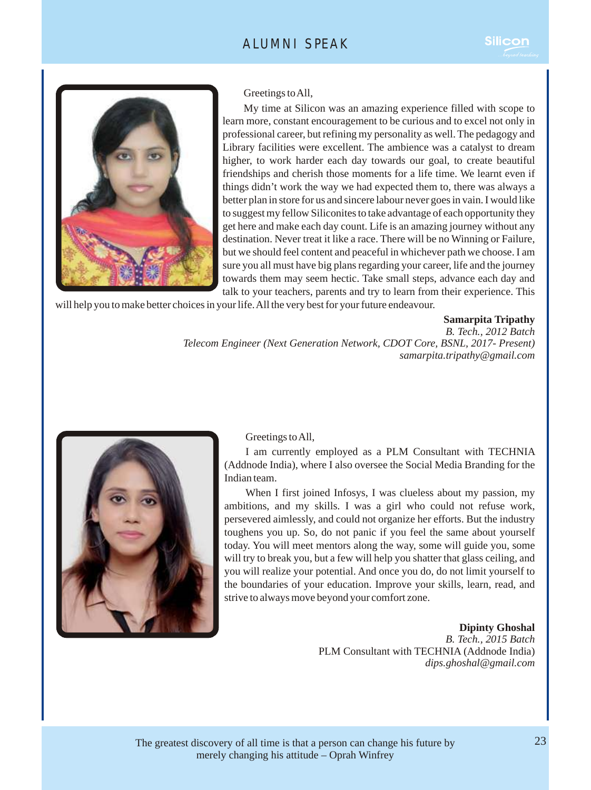

Greetings to All,

My time at Silicon was an amazing experience filled with scope to learn more, constant encouragement to be curious and to excel not only in professional career, but refining my personality as well. The pedagogy and Library facilities were excellent. The ambience was a catalyst to dream higher, to work harder each day towards our goal, to create beautiful friendships and cherish those moments for a life time. We learnt even if things didn't work the way we had expected them to, there was always a better plan in store for us and sincere labour never goes in vain. I would like to suggest my fellow Siliconites to take advantage of each opportunity they get here and make each day count. Life is an amazing journey without any destination. Never treat it like a race. There will be no Winning or Failure, but we should feel content and peaceful in whichever path we choose. I am sure you all must have big plans regarding your career, life and the journey towards them may seem hectic. Take small steps, advance each day and talk to your teachers, parents and try to learn from their experience. This

will help you to make better choices in your life. All the very best for your future endeavour.

### **Samarpita Tripathy**

*B. Tech., 2012 Batch Telecom Engineer (Next Generation Network, CDOT Core, BSNL, 2017- Present) samarpita.tripathy@gmail.com*



Greetings to All,

I am currently employed as a PLM Consultant with TECHNIA (Addnode India), where I also oversee the Social Media Branding for the Indian team.

When I first joined Infosys, I was clueless about my passion, my ambitions, and my skills. I was a girl who could not refuse work, persevered aimlessly, and could not organize her efforts. But the industry toughens you up. So, do not panic if you feel the same about yourself today. You will meet mentors along the way, some will guide you, some will try to break you, but a few will help you shatter that glass ceiling, and you will realize your potential. And once you do, do not limit yourself to the boundaries of your education. Improve your skills, learn, read, and strive to always move beyond your comfort zone.

> **Dipinty Ghoshal**  *B. Tech., 2015 Batch* PLM Consultant with TECHNIA (Addnode India) *dips.ghoshal@gmail.com*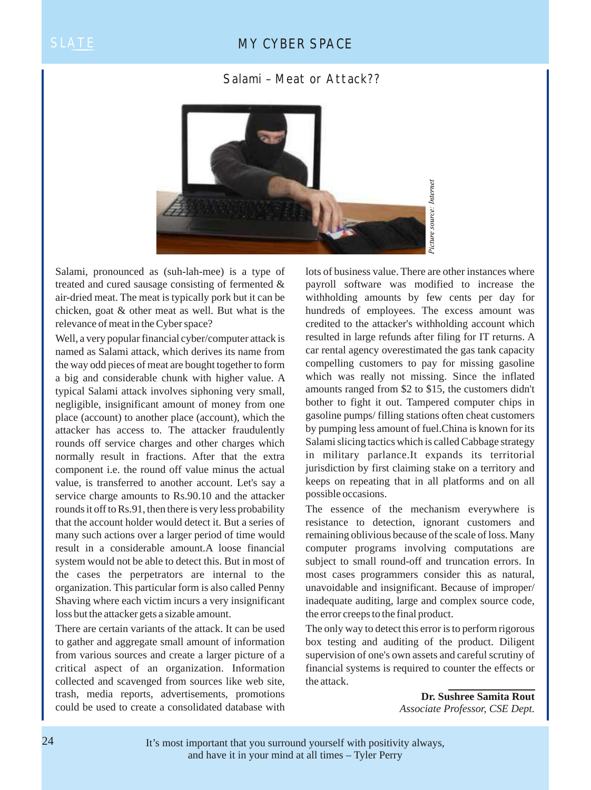### SLATE MY CYBER SPACE

### Salami – Meat or Attack??



Salami, pronounced as (suh-lah-mee) is a type of treated and cured sausage consisting of fermented & air-dried meat. The meat is typically pork but it can be chicken, goat & other meat as well. But what is the relevance of meat in the Cyber space?

Well, a very popular financial cyber/computer attack is named as Salami attack, which derives its name from the way odd pieces of meat are bought together to form a big and considerable chunk with higher value. A typical Salami attack involves siphoning very small, negligible, insignificant amount of money from one place (account) to another place (account), which the attacker has access to. The attacker fraudulently rounds off service charges and other charges which normally result in fractions. After that the extra component i.e. the round off value minus the actual value, is transferred to another account. Let's say a service charge amounts to Rs.90.10 and the attacker rounds it off to Rs.91, then there is very less probability that the account holder would detect it. But a series of many such actions over a larger period of time would result in a considerable amount.A loose financial system would not be able to detect this. But in most of the cases the perpetrators are internal to the organization. This particular form is also called Penny Shaving where each victim incurs a very insignificant loss but the attacker gets a sizable amount.

There are certain variants of the attack. It can be used to gather and aggregate small amount of information from various sources and create a larger picture of a critical aspect of an organization. Information collected and scavenged from sources like web site, trash, media reports, advertisements, promotions could be used to create a consolidated database with

lots of business value. There are other instances where payroll software was modified to increase the withholding amounts by few cents per day for hundreds of employees. The excess amount was credited to the attacker's withholding account which resulted in large refunds after filing for IT returns. A car rental agency overestimated the gas tank capacity compelling customers to pay for missing gasoline which was really not missing. Since the inflated amounts ranged from \$2 to \$15, the customers didn't bother to fight it out. Tampered computer chips in gasoline pumps/ filling stations often cheat customers by pumping less amount of fuel.China is known for its Salami slicing tactics which is called Cabbage strategy in military parlance.It expands its territorial jurisdiction by first claiming stake on a territory and keeps on repeating that in all platforms and on all possible occasions.

The essence of the mechanism everywhere is resistance to detection, ignorant customers and remaining oblivious because of the scale of loss. Many computer programs involving computations are subject to small round-off and truncation errors. In most cases programmers consider this as natural, unavoidable and insignificant. Because of improper/ inadequate auditing, large and complex source code, the error creeps to the final product.

The only way to detect this error is to perform rigorous box testing and auditing of the product. Diligent supervision of one's own assets and careful scrutiny of financial systems is required to counter the effects or the attack.

> **Dr. Sushree Samita Rout** *Associate Professor, CSE Dept.*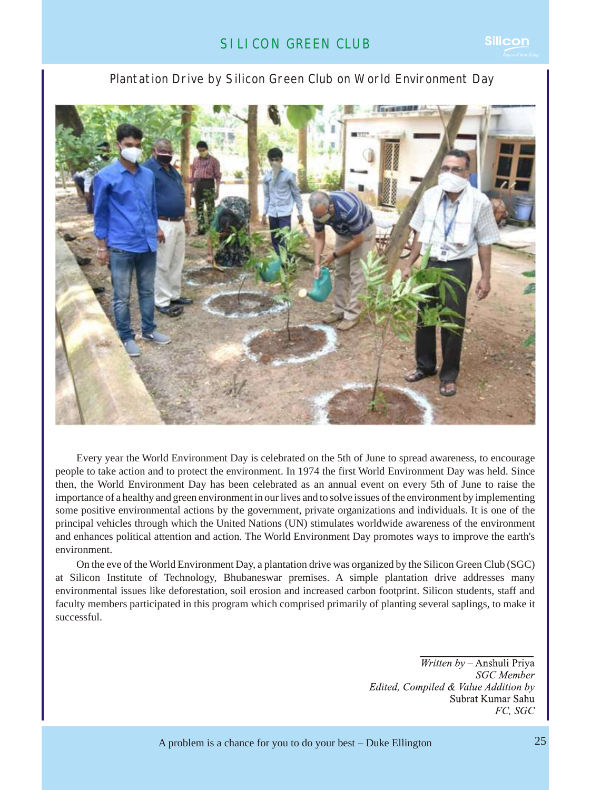### Plantation Drive by Silicon Green Club on World Environment Day



Every year the World Environment Day is celebrated on the 5th of June to spread awareness, to encourage people to take action and to protect the environment. In 1974 the first World Environment Day was held. Since then, the World Environment Day has been celebrated as an annual event on every 5th of June to raise the importance of a healthy and green environment in our lives and to solve issues of the environment by implementing some positive environmental actions by the government, private organizations and individuals. It is one of the principal vehicles through which the United Nations (UN) stimulates worldwide awareness of the environment and enhances political attention and action. The World Environment Day promotes ways to improve the earth's environment.

On the eve of the World Environment Day, a plantation drive was organized by the Silicon Green Club (SGC) at Silicon Institute of Technology, Bhubaneswar premises. A simple plantation drive addresses many environmental issues like deforestation, soil erosion and increased carbon footprint. Silicon students, staff and faculty members participated in this program which comprised primarily of planting several saplings, to make it successful.

> *Written by - Anshuli Priya* **SGC** Member Edited, Compiled & Value Addition by Subrat Kumar Sahu FC, SGC